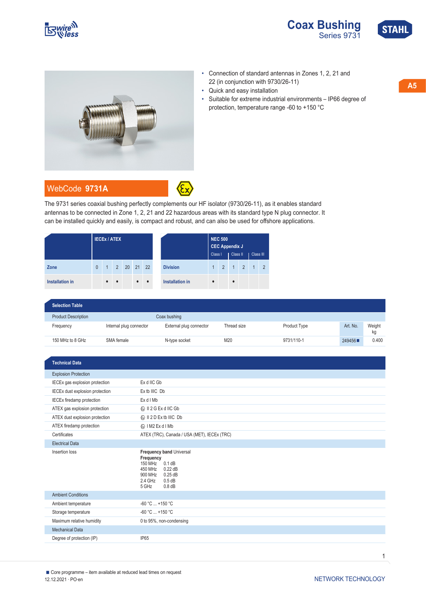



• Connection of standard antennas in Zones 1, 2, 21 and

protection, temperature range -60 to +150 °C

• Suitable for extreme industrial environments – IP66 degree of

22 (in conjunction with 9730/26-11)

• Quick and easy installation





## WebCode **[9731A](https://r-stahl.com/en/global/products/downloads/webcode/9731A)**



The 9731 series coaxial bushing perfectly complements our HF isolator (9730/26-11), as it enables standard antennas to be connected in Zone 1, 2, 21 and 22 hazardous areas with its standard type N plug connector. It can be installed quickly and easily, is compact and robust, and can also be used for offshore applications.

|                        | <b>IECEX ATEX</b> |              |                |    |           |           |                        | <b>NEC 500</b><br><b>CEC Appendix J</b><br>Class II<br>Class I<br>Class III |                |           |                |                |                |
|------------------------|-------------------|--------------|----------------|----|-----------|-----------|------------------------|-----------------------------------------------------------------------------|----------------|-----------|----------------|----------------|----------------|
| Zone                   | $\theta$          | $\mathbf{1}$ | $\overline{2}$ | 20 | 21 22     |           | <b>Division</b>        | $\overline{1}$                                                              | $\mathfrak{D}$ | $-1$      | $\overline{2}$ | $\overline{1}$ | $\overline{2}$ |
| <b>Installation in</b> |                   | $\bullet$    | $\bullet$      |    | $\bullet$ | $\bullet$ | <b>Installation in</b> | $\bullet$                                                                   |                | $\bullet$ |                |                |                |

| <b>Selection Table</b>     |                         |                         |             |              |          |              |
|----------------------------|-------------------------|-------------------------|-------------|--------------|----------|--------------|
| <b>Product Description</b> |                         | Coax bushing            |             |              |          |              |
| Frequency                  | Internal plug connector | External plug connector | Thread size | Product Type | Art. No. | Weight<br>kg |
| 150 MHz to 8 GHz           | SMA female              | N-type socket           | M20         | 9731/110-1   | 249456   | 0.400        |

| <b>Technical Data</b>            |                                                                                                                                                   |  |  |  |  |  |
|----------------------------------|---------------------------------------------------------------------------------------------------------------------------------------------------|--|--|--|--|--|
| <b>Explosion Protection</b>      |                                                                                                                                                   |  |  |  |  |  |
| IECEx gas explosion protection   | Ex d IIC Gb                                                                                                                                       |  |  |  |  |  |
| IECEx dust explosion protection  | Ex tb IIIC Db                                                                                                                                     |  |  |  |  |  |
| <b>IECEx firedamp protection</b> | Ex d I Mb                                                                                                                                         |  |  |  |  |  |
| ATEX gas explosion protection    | <b>۞ II 2 G Ex d IIC Gb</b>                                                                                                                       |  |  |  |  |  |
| ATEX dust explosion protection   | <b>E</b> II 2 D Ex tb IIIC Db                                                                                                                     |  |  |  |  |  |
| ATEX firedamp protection         | kx I M2 Ex d I Mb                                                                                                                                 |  |  |  |  |  |
| Certificates                     | ATEX (TRC), Canada / USA (MET), IECEx (TRC)                                                                                                       |  |  |  |  |  |
| <b>Electrical Data</b>           |                                                                                                                                                   |  |  |  |  |  |
| Insertion loss                   | Frequency band Universal<br>Frequency<br>150 MHz 0.1 dB<br>450 MHz<br>$0.22$ dB<br>900 MHz<br>$0.25$ dB<br>2.4 GHz<br>0.5 dB<br>5 GHz<br>$0.8$ dB |  |  |  |  |  |
| <b>Ambient Conditions</b>        |                                                                                                                                                   |  |  |  |  |  |
| Ambient temperature              | $-60 °C  +150 °C$                                                                                                                                 |  |  |  |  |  |
|                                  | $-60 °C$ +150 °C                                                                                                                                  |  |  |  |  |  |
| Storage temperature              |                                                                                                                                                   |  |  |  |  |  |
| Maximum relative humidity        | 0 to 95%, non-condensing                                                                                                                          |  |  |  |  |  |
| <b>Mechanical Data</b>           |                                                                                                                                                   |  |  |  |  |  |
| Degree of protection (IP)        | <b>IP65</b>                                                                                                                                       |  |  |  |  |  |

1